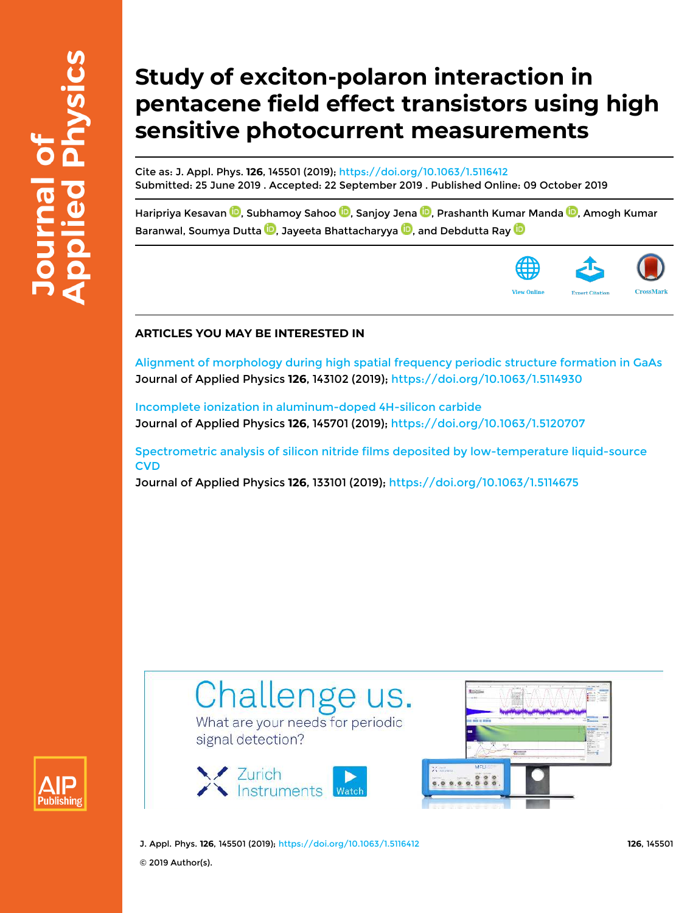# **Study of exciton-polaron interaction in pentacene field effect transistors using high sensitive photocurrent measurements**

Cite as: J. Appl. Phys. **126**, 145501 (2019); https://doi.org/10.1063/1.5116412 Submitted: 25 June 2019 . Accepted: 22 September 2019 . Published Online: 09 October 2019

Haripriya Kesavan **D**, Subhamoy Sahoo **D**, Sanjoy Jena **D**, Prashanth Kumar Manda **D**, Amogh Kumar Baranwal, Soumya Dutta **D**, Jayeeta Bhattacharyya **D**, and Debdutta Ray **D** 



### **ARTICLES YOU MAY BE INTERESTED IN**

Alignment of morphology during high spatial frequency periodic structure formation in GaAs Journal of Applied Physics **126**, 143102 (2019); https://doi.org/10.1063/1.5114930

Incomplete ionization in aluminum-doped 4H-silicon carbide Journal of Applied Physics **126**, 145701 (2019); https://doi.org/10.1063/1.5120707

Spectrometric analysis of silicon nitride films deposited by low-temperature liquid-source **CVD** 

Journal of Applied Physics **126**, 133101 (2019); https://doi.org/10.1063/1.5114675





signal detection?





J. Appl. Phys. **126**, 145501 (2019); https://doi.org/10.1063/1.5116412 **126**, 145501 © 2019 Author(s).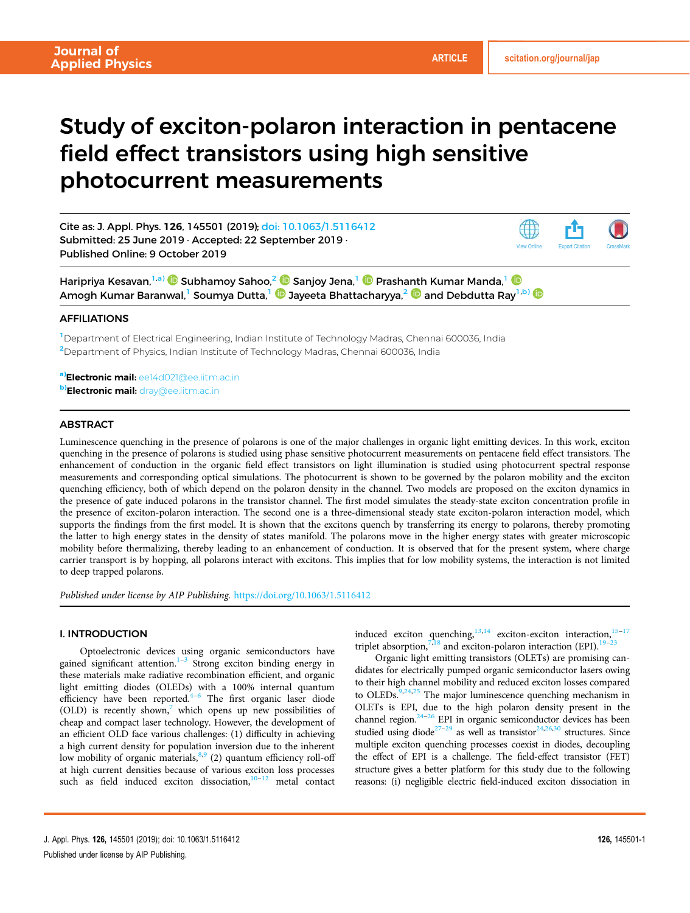View Online Export Citation CrossMark

## Study of exciton-polaron interaction in pentacene field effect transistors using high sensitive photocurrent measurements

Cite as: J. Appl. Phys. 126, 145501 (2019); doi: 10.1063/1.5116412 Submitted: 25 June 2019 · Accepted: 22 September 2019 · Published Online: 9 October 2019

Haripriya Kesavan,1,a) Subhamoy Sahoo,<sup>2</sup> Sanjoy Jena,<sup>1</sup> Prashanth Kumar Manda,<sup>1</sup> Amogh Kumar Baranwal,<sup>1</sup> Soumya Dutta,<sup>1</sup> Jayeeta Bhattacharyya,<sup>2</sup> and Debdutta Ray1,b)

#### **AFFILIATIONS**

<sup>1</sup>Department of Electrical Engineering, Indian Institute of Technology Madras, Chennai 600036, India <sup>2</sup>Department of Physics, Indian Institute of Technology Madras, Chennai 600036, India

a)Electronic mail: ee14d021@ee.iitm.ac.in **b)Electronic mail:** dray@ee.iitm.ac.in

#### **ABSTRACT**

Luminescence quenching in the presence of polarons is one of the major challenges in organic light emitting devices. In this work, exciton quenching in the presence of polarons is studied using phase sensitive photocurrent measurements on pentacene field effect transistors. The enhancement of conduction in the organic field effect transistors on light illumination is studied using photocurrent spectral response measurements and corresponding optical simulations. The photocurrent is shown to be governed by the polaron mobility and the exciton quenching efficiency, both of which depend on the polaron density in the channel. Two models are proposed on the exciton dynamics in the presence of gate induced polarons in the transistor channel. The first model simulates the steady-state exciton concentration profile in the presence of exciton-polaron interaction. The second one is a three-dimensional steady state exciton-polaron interaction model, which supports the findings from the first model. It is shown that the excitons quench by transferring its energy to polarons, thereby promoting the latter to high energy states in the density of states manifold. The polarons move in the higher energy states with greater microscopic mobility before thermalizing, thereby leading to an enhancement of conduction. It is observed that for the present system, where charge carrier transport is by hopping, all polarons interact with excitons. This implies that for low mobility systems, the interaction is not limited to deep trapped polarons.

Published under license by AIP Publishing. https://doi.org/10.1063/1.5116412

#### I. INTRODUCTION

Optoelectronic devices using organic semiconductors have gained significant attention.<sup>1–3</sup> Strong exciton binding energy in these materials make radiative recombination efficient, and organic light emitting diodes (OLEDs) with a 100% internal quantum efficiency have been reported.<sup>4–6</sup> The first organic laser diode (OLD) is recently shown, $\frac{7}{1}$  which opens up new possibilities of cheap and compact laser technology. However, the development of an efficient OLD face various challenges: (1) difficulty in achieving a high current density for population inversion due to the inherent low mobility of organic materials, 8,9 (2) quantum efficiency roll-off at high current densities because of various exciton loss processes such as field induced exciton dissociation, $10-12$  metal contact

induced exciton quenching,<sup>13,14</sup> exciton-exciton interaction,<sup>15–17</sup> triplet absorption,  $\frac{7,18}{1}$  and exciton-polaron interaction (EPI).<sup>19</sup>

Organic light emitting transistors (OLETs) are promising candidates for electrically pumped organic semiconductor lasers owing to their high channel mobility and reduced exciton losses compared to OLEDs.<sup>9,24,25</sup> The major luminescence quenching mechanism in OLETs is EPI, due to the high polaron density present in the channel region. $24-26$  EPI in organic semiconductor devices has been studied using diode<sup>27-29</sup> as well as transistor<sup>24,26,30</sup> structures. Since multiple exciton quenching processes coexist in diodes, decoupling the effect of EPI is a challenge. The field-effect transistor (FET) structure gives a better platform for this study due to the following reasons: (i) negligible electric field-induced exciton dissociation in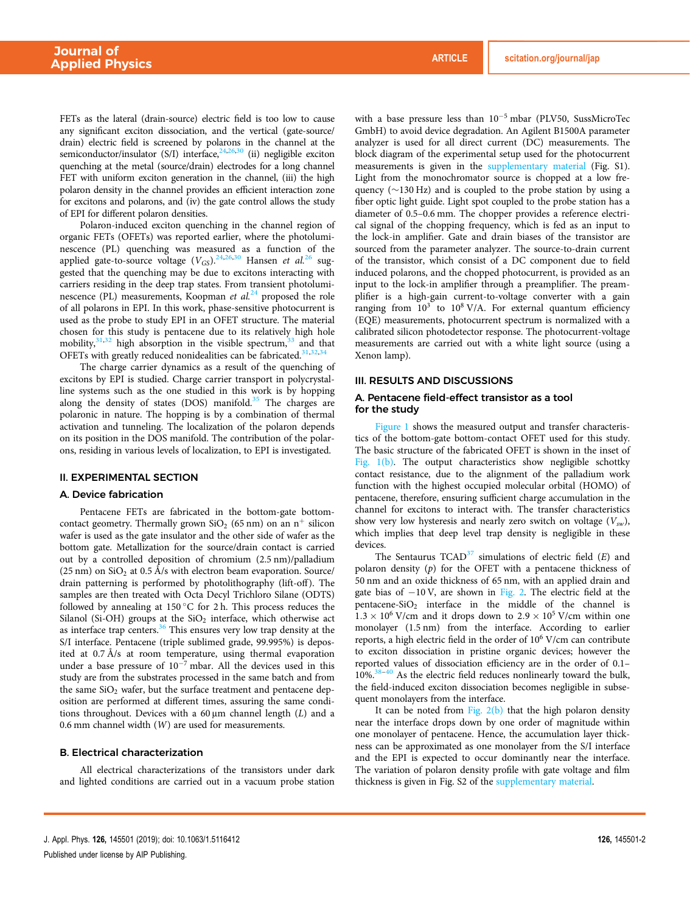FETs as the lateral (drain-source) electric field is too low to cause any significant exciton dissociation, and the vertical (gate-source/ drain) electric field is screened by polarons in the channel at the semiconductor/insulator (S/I) interface,  $24,26,30$  (ii) negligible exciton quenching at the metal (source/drain) electrodes for a long channel FET with uniform exciton generation in the channel, (iii) the high polaron density in the channel provides an efficient interaction zone for excitons and polarons, and (iv) the gate control allows the study of EPI for different polaron densities.

Polaron-induced exciton quenching in the channel region of organic FETs (OFETs) was reported earlier, where the photoluminescence (PL) quenching was measured as a function of the applied gate-to-source voltage  $(V_{GS})$ .<sup>24,26,30</sup> Hansen et al.<sup>26</sup> suggested that the quenching may be due to excitons interacting with carriers residing in the deep trap states. From transient photoluminescence (PL) measurements, Koopman et  $al^{24}$  proposed the role of all polarons in EPI. In this work, phase-sensitive photocurrent is used as the probe to study EPI in an OFET structure. The material chosen for this study is pentacene due to its relatively high hole mobility, $31,32$  high absorption in the visible spectrum, $33$  and that OFETs with greatly reduced nonidealities can be fabricated.<sup>31,32,34</sup>

The charge carrier dynamics as a result of the quenching of excitons by EPI is studied. Charge carrier transport in polycrystalline systems such as the one studied in this work is by hopping along the density of states (DOS) manifold.<sup>35</sup> The charges are polaronic in nature. The hopping is by a combination of thermal activation and tunneling. The localization of the polaron depends on its position in the DOS manifold. The contribution of the polarons, residing in various levels of localization, to EPI is investigated.

#### II. EXPERIMENTAL SECTION

#### A. Device fabrication

Pentacene FETs are fabricated in the bottom-gate bottomcontact geometry. Thermally grown  $SiO<sub>2</sub>$  (65 nm) on an n<sup>+</sup> silicon wafer is used as the gate insulator and the other side of wafer as the bottom gate. Metallization for the source/drain contact is carried out by a controlled deposition of chromium (2.5 nm)/palladium (25 nm) on  $SiO<sub>2</sub>$  at 0.5 Å/s with electron beam evaporation. Source/ drain patterning is performed by photolithography (lift-off). The samples are then treated with Octa Decyl Trichloro Silane (ODTS) followed by annealing at 150 $^{\circ}$ C for 2 h. This process reduces the Silanol (Si-OH) groups at the  $SiO<sub>2</sub>$  interface, which otherwise act as interface trap centers.<sup>36</sup> This ensures very low trap density at the S/I interface. Pentacene (triple sublimed grade, 99.995%) is deposited at 0.7 Å/s at room temperature, using thermal evaporation under a base pressure of  $10^{-7}$  mbar. All the devices used in this study are from the substrates processed in the same batch and from the same  $SiO<sub>2</sub>$  wafer, but the surface treatment and pentacene deposition are performed at different times, assuring the same conditions throughout. Devices with a  $60 \mu m$  channel length  $(L)$  and a 0.6 mm channel width (W) are used for measurements.

#### B. Electrical characterization

All electrical characterizations of the transistors under dark and lighted conditions are carried out in a vacuum probe station with a base pressure less than  $10^{-5}$  mbar (PLV50, SussMicroTec GmbH) to avoid device degradation. An Agilent B1500A parameter analyzer is used for all direct current (DC) measurements. The block diagram of the experimental setup used for the photocurrent measurements is given in the supplementary material (Fig. S1). Light from the monochromator source is chopped at a low frequency ( $\sim$ 130 Hz) and is coupled to the probe station by using a fiber optic light guide. Light spot coupled to the probe station has a diameter of 0.5–0.6 mm. The chopper provides a reference electrical signal of the chopping frequency, which is fed as an input to the lock-in amplifier. Gate and drain biases of the transistor are sourced from the parameter analyzer. The source-to-drain current of the transistor, which consist of a DC component due to field induced polarons, and the chopped photocurrent, is provided as an input to the lock-in amplifier through a preamplifier. The preamplifier is a high-gain current-to-voltage converter with a gain ranging from  $10^3$  to  $10^8$  V/A. For external quantum efficiency (EQE) measurements, photocurrent spectrum is normalized with a calibrated silicon photodetector response. The photocurrent-voltage measurements are carried out with a white light source (using a Xenon lamp).

#### III. RESULTS AND DISCUSSIONS

#### A. Pentacene field-effect transistor as a tool for the study

Figure 1 shows the measured output and transfer characteristics of the bottom-gate bottom-contact OFET used for this study. The basic structure of the fabricated OFET is shown in the inset of Fig. 1(b). The output characteristics show negligible schottky contact resistance, due to the alignment of the palladium work function with the highest occupied molecular orbital (HOMO) of pentacene, therefore, ensuring sufficient charge accumulation in the channel for excitons to interact with. The transfer characteristics show very low hysteresis and nearly zero switch on voltage  $(V_{sw})$ , which implies that deep level trap density is negligible in these devices.

The Sentaurus  $TCAD<sup>37</sup>$  simulations of electric field (E) and polaron density  $(p)$  for the OFET with a pentacene thickness of 50 nm and an oxide thickness of 65 nm, with an applied drain and gate bias of  $-10$  V, are shown in Fig. 2. The electric field at the pentacene-SiO<sub>2</sub> interface in the middle of the channel is  $1.3 \times 10^6$  V/cm and it drops down to  $2.9 \times 10^5$  V/cm within one monolayer (1.5 nm) from the interface. According to earlier reports, a high electric field in the order of 10<sup>6</sup> V/cm can contribute to exciton dissociation in pristine organic devices; however the reported values of dissociation efficiency are in the order of 0.1– 10%.<sup>38-40</sup> As the electric field reduces nonlinearly toward the bulk, the field-induced exciton dissociation becomes negligible in subsequent monolayers from the interface.

It can be noted from Fig.  $2(b)$  that the high polaron density near the interface drops down by one order of magnitude within one monolayer of pentacene. Hence, the accumulation layer thickness can be approximated as one monolayer from the S/I interface and the EPI is expected to occur dominantly near the interface. The variation of polaron density profile with gate voltage and film thickness is given in Fig. S2 of the supplementary material.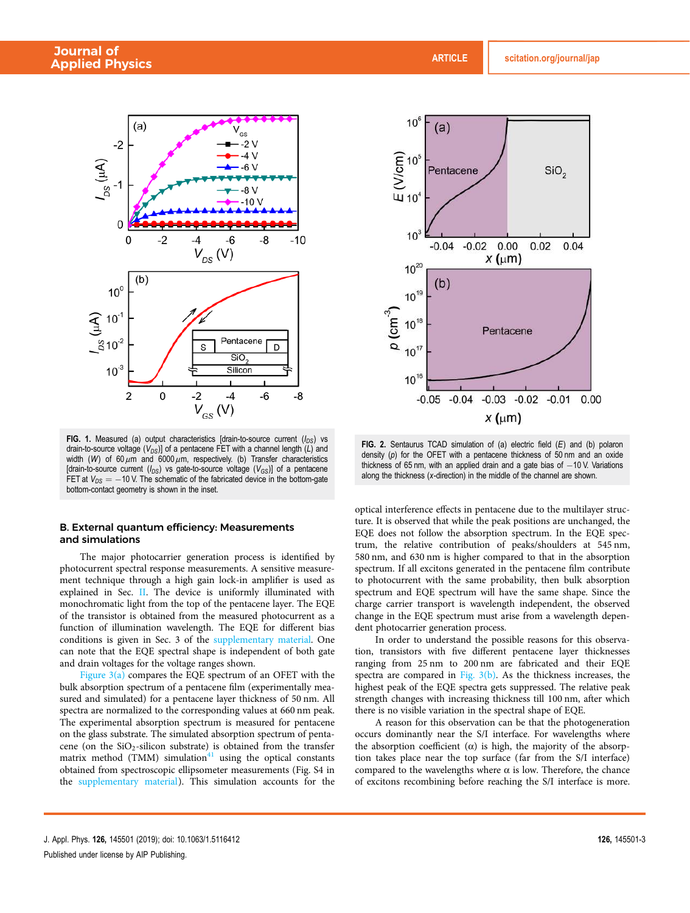

FIG. 1. Measured (a) output characteristics [drain-to-source current  $(I_{DS})$  vs drain-to-source voltage ( $V_{DS}$ )] of a pentacene FET with a channel length (L) and width (W) of 60  $\mu$ m and 6000  $\mu$ m, respectively. (b) Transfer characteristics [drain-to-source current ( $I_{DS}$ ) vs gate-to-source voltage ( $V_{GS}$ )] of a pentacene FET at  $V_{DS} = -10$  V. The schematic of the fabricated device in the bottom-gate bottom-contact geometry is shown in the inset.

#### B. External quantum efficiency: Measurements and simulations

The major photocarrier generation process is identified by photocurrent spectral response measurements. A sensitive measurement technique through a high gain lock-in amplifier is used as explained in Sec. II. The device is uniformly illuminated with monochromatic light from the top of the pentacene layer. The EQE of the transistor is obtained from the measured photocurrent as a function of illumination wavelength. The EQE for different bias conditions is given in Sec. 3 of the supplementary material. One can note that the EQE spectral shape is independent of both gate and drain voltages for the voltage ranges shown.

Figure  $3(a)$  compares the EQE spectrum of an OFET with the bulk absorption spectrum of a pentacene film (experimentally measured and simulated) for a pentacene layer thickness of 50 nm. All spectra are normalized to the corresponding values at 660 nm peak. The experimental absorption spectrum is measured for pentacene on the glass substrate. The simulated absorption spectrum of pentacene (on the  $SiO<sub>2</sub>$ -silicon substrate) is obtained from the transfer matrix method (TMM) simulation<sup>41</sup> using the optical constants obtained from spectroscopic ellipsometer measurements (Fig. S4 in the supplementary material). This simulation accounts for the



FIG. 2. Sentaurus TCAD simulation of (a) electric field  $(E)$  and (b) polaron density (p) for the OFET with a pentacene thickness of  $50$  nm and an oxide thickness of 65 nm, with an applied drain and a gate bias of  $-10$  V. Variations along the thickness (x-direction) in the middle of the channel are shown.

optical interference effects in pentacene due to the multilayer structure. It is observed that while the peak positions are unchanged, the EQE does not follow the absorption spectrum. In the EQE spectrum, the relative contribution of peaks/shoulders at 545 nm, 580 nm, and 630 nm is higher compared to that in the absorption spectrum. If all excitons generated in the pentacene film contribute to photocurrent with the same probability, then bulk absorption spectrum and EQE spectrum will have the same shape. Since the charge carrier transport is wavelength independent, the observed change in the EQE spectrum must arise from a wavelength dependent photocarrier generation process.

In order to understand the possible reasons for this observation, transistors with five different pentacene layer thicknesses ranging from 25 nm to 200 nm are fabricated and their EQE spectra are compared in Fig. 3(b). As the thickness increases, the highest peak of the EQE spectra gets suppressed. The relative peak strength changes with increasing thickness till 100 nm, after which there is no visible variation in the spectral shape of EQE.

A reason for this observation can be that the photogeneration occurs dominantly near the S/I interface. For wavelengths where the absorption coefficient ( $\alpha$ ) is high, the majority of the absorption takes place near the top surface (far from the S/I interface) compared to the wavelengths where  $\alpha$  is low. Therefore, the chance of excitons recombining before reaching the S/I interface is more.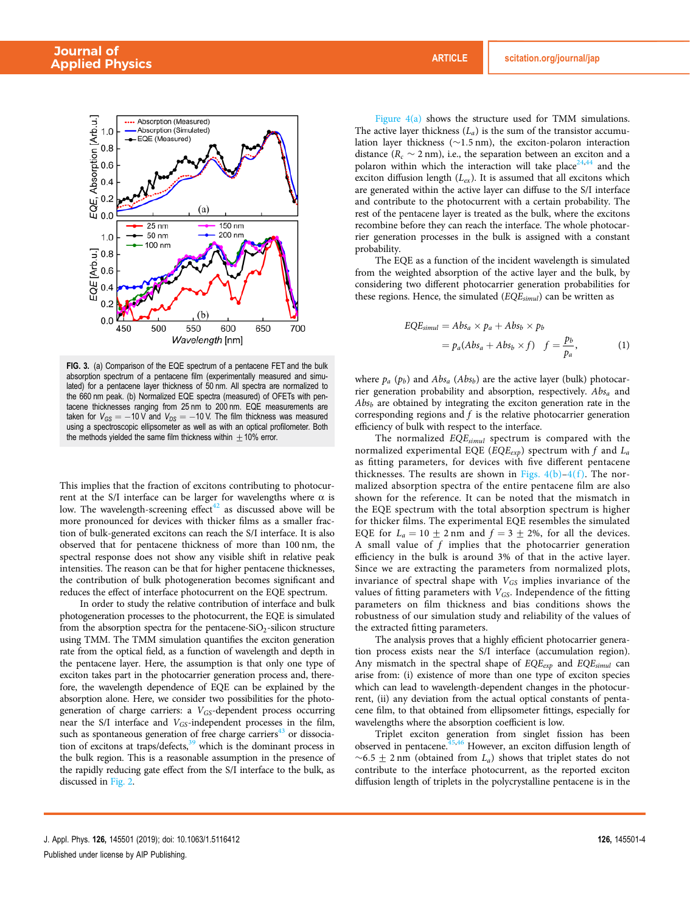

FIG. 3. (a) Comparison of the EQE spectrum of a pentacene FET and the bulk absorption spectrum of a pentacene film (experimentally measured and simulated) for a pentacene layer thickness of 50 nm. All spectra are normalized to the 660 nm peak. (b) Normalized EQE spectra (measured) of OFETs with pentacene thicknesses ranging from 25 nm to 200 nm. EQE measurements are taken for  $V_{GS} = -10$  V and  $V_{DS} = -10$  V. The film thickness was measured using a spectroscopic ellipsometer as well as with an optical profilometer. Both the methods yielded the same film thickness within  $\pm$  10% error.

This implies that the fraction of excitons contributing to photocurrent at the S/I interface can be larger for wavelengths where  $α$  is low. The wavelength-screening effect<sup>42</sup> as discussed above will be more pronounced for devices with thicker films as a smaller fraction of bulk-generated excitons can reach the S/I interface. It is also observed that for pentacene thickness of more than 100 nm, the spectral response does not show any visible shift in relative peak intensities. The reason can be that for higher pentacene thicknesses, the contribution of bulk photogeneration becomes significant and reduces the effect of interface photocurrent on the EQE spectrum.

In order to study the relative contribution of interface and bulk photogeneration processes to the photocurrent, the EQE is simulated from the absorption spectra for the pentacene-SiO<sub>2</sub>-silicon structure using TMM. The TMM simulation quantifies the exciton generation rate from the optical field, as a function of wavelength and depth in the pentacene layer. Here, the assumption is that only one type of exciton takes part in the photocarrier generation process and, therefore, the wavelength dependence of EQE can be explained by the absorption alone. Here, we consider two possibilities for the photogeneration of charge carriers: a  $V_{GS}$ -dependent process occurring near the S/I interface and  $V_{GS}$ -independent processes in the film, such as spontaneous generation of free charge carriers<sup>43</sup> or dissociation of excitons at traps/defects, $39$  which is the dominant process in the bulk region. This is a reasonable assumption in the presence of the rapidly reducing gate effect from the S/I interface to the bulk, as discussed in Fig. 2.

Figure  $4(a)$  shows the structure used for TMM simulations. The active layer thickness  $(L_a)$  is the sum of the transistor accumulation layer thickness ( $\sim$ 1.5 nm), the exciton-polaron interaction distance ( $R_c \sim 2$  nm), i.e., the separation between an exciton and a polaron within which the interaction will take place<sup>24,44</sup> and the exciton diffusion length  $(L_{ex})$ . It is assumed that all excitons which are generated within the active layer can diffuse to the S/I interface and contribute to the photocurrent with a certain probability. The rest of the pentacene layer is treated as the bulk, where the excitons recombine before they can reach the interface. The whole photocarrier generation processes in the bulk is assigned with a constant probability.

The EQE as a function of the incident wavelength is simulated from the weighted absorption of the active layer and the bulk, by considering two different photocarrier generation probabilities for these regions. Hence, the simulated  $(EQE_{simul})$  can be written as

$$
EQE_{simul} = Abs_a \times p_a + Abs_b \times p_b
$$
  
=  $p_a(Abs_a + Abs_b \times f) \quad f = \frac{p_b}{p_a},$  (1)

where  $p_a$  ( $p_b$ ) and  $Abs_a$  ( $Abs_b$ ) are the active layer (bulk) photocarrier generation probability and absorption, respectively.  $Abs<sub>a</sub>$  and  $Abs<sub>b</sub>$  are obtained by integrating the exciton generation rate in the corresponding regions and  $f$  is the relative photocarrier generation efficiency of bulk with respect to the interface.

The normalized  $EQE_{simul}$  spectrum is compared with the normalized experimental EQE ( $EQE_{exp}$ ) spectrum with f and  $L_a$ as fitting parameters, for devices with five different pentacene thicknesses. The results are shown in Figs.  $4(b)-4(f)$ . The normalized absorption spectra of the entire pentacene film are also shown for the reference. It can be noted that the mismatch in the EQE spectrum with the total absorption spectrum is higher for thicker films. The experimental EQE resembles the simulated EQE for  $L_a = 10 \pm 2$  nm and  $f = 3 \pm 2$ %, for all the devices. A small value of  $f$  implies that the photocarrier generation efficiency in the bulk is around 3% of that in the active layer. Since we are extracting the parameters from normalized plots, invariance of spectral shape with  $V_{GS}$  implies invariance of the values of fitting parameters with  $V_{GS}$ . Independence of the fitting parameters on film thickness and bias conditions shows the robustness of our simulation study and reliability of the values of the extracted fitting parameters.

The analysis proves that a highly efficient photocarrier generation process exists near the S/I interface (accumulation region). Any mismatch in the spectral shape of  $EQE_{exp}$  and  $EQE_{simul}$  can arise from: (i) existence of more than one type of exciton species which can lead to wavelength-dependent changes in the photocurrent, (ii) any deviation from the actual optical constants of pentacene film, to that obtained from ellipsometer fittings, especially for wavelengths where the absorption coefficient is low.

Triplet exciton generation from singlet fission has been observed in pentacene.<sup>45,46</sup> However, an exciton diffusion length of  $~\sim$ 6.5  $\pm$  2 nm (obtained from  $L_a$ ) shows that triplet states do not contribute to the interface photocurrent, as the reported exciton diffusion length of triplets in the polycrystalline pentacene is in the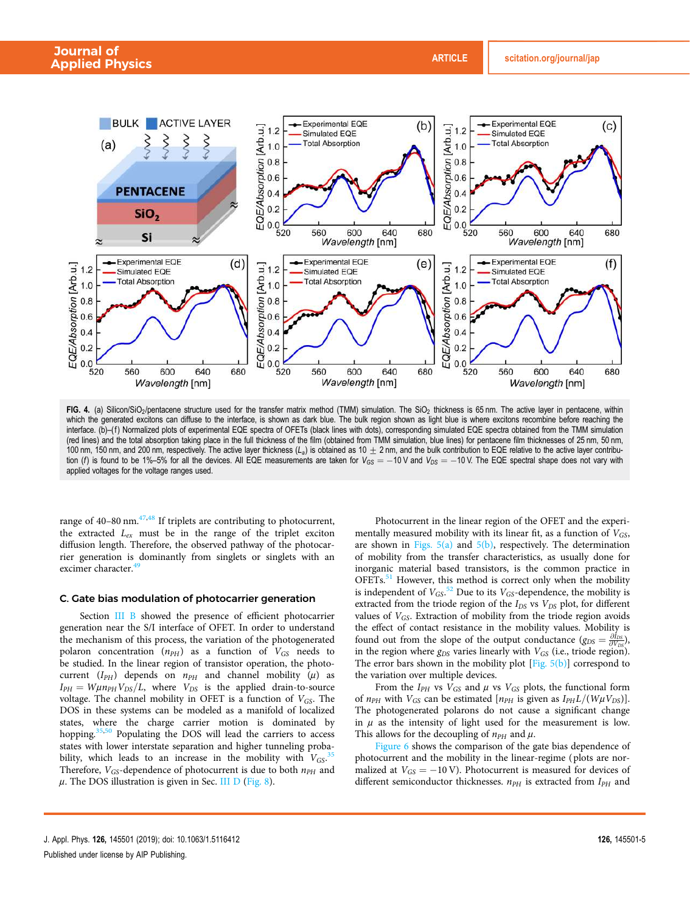

FIG. 4. (a) Silicon/SiO<sub>2</sub>/pentacene structure used for the transfer matrix method (TMM) simulation. The SiO<sub>2</sub> thickness is 65 nm. The active layer in pentacene, within which the generated excitons can diffuse to the interface, is shown as dark blue. The bulk region shown as light blue is where excitons recombine before reaching the interface. (b)–(f) Normalized plots of experimental EQE spectra of OFETs (black lines with dots), corresponding simulated EQE spectra obtained from the TMM simulation (red lines) and the total absorption taking place in the full thickness of the film (obtained from TMM simulation, blue lines) for pentacene film thicknesses of 25 nm, 50 nm, 100 nm, 150 nm, and 200 nm, respectively. The active layer thickness  $(L<sub>a</sub>)$  is obtained as 10  $\pm$  2 nm, and the bulk contribution to EQE relative to the active layer contribution (f) is found to be 1%–5% for all the devices. All EQE measurements are taken for  $V_{OS} = -10$  V and  $V_{DS} = -10$  V. The EQE spectral shape does not vary with applied voltages for the voltage ranges used.

range of  $40-80$  nm.<sup> $47,48$ </sup> If triplets are contributing to photocurrent, the extracted  $L_{ex}$  must be in the range of the triplet exciton diffusion length. Therefore, the observed pathway of the photocarrier generation is dominantly from singlets or singlets with an excimer character.<sup>4</sup>

#### C. Gate bias modulation of photocarrier generation

Section III B showed the presence of efficient photocarrier generation near the S/I interface of OFET. In order to understand the mechanism of this process, the variation of the photogenerated polaron concentration  $(n_{PH})$  as a function of  $V_{GS}$  needs to be studied. In the linear region of transistor operation, the photocurrent ( $I_{PH}$ ) depends on  $n_{PH}$  and channel mobility ( $\mu$ ) as  $I_{PH} = W\mu n_{PH}V_{DS}/L$ , where  $V_{DS}$  is the applied drain-to-source voltage. The channel mobility in OFET is a function of  $V_{GS}$ . The DOS in these systems can be modeled as a manifold of localized states, where the charge carrier motion is dominated by hopping.<sup>35,50</sup> Populating the DOS will lead the carriers to access states with lower interstate separation and higher tunneling probability, which leads to an increase in the mobility with  $V_{GS}$ .<sup>35</sup> Therefore,  $V_{GS}$ -dependence of photocurrent is due to both  $n_{PH}$  and  $\mu$ . The DOS illustration is given in Sec. III D (Fig. 8).

Photocurrent in the linear region of the OFET and the experimentally measured mobility with its linear fit, as a function of  $V_{GS}$ , are shown in Figs.  $5(a)$  and  $5(b)$ , respectively. The determination of mobility from the transfer characteristics, as usually done for inorganic material based transistors, is the common practice in OFETs.<sup>51</sup> However, this method is correct only when the mobility is independent of  $V_{GS}$ .<sup>52</sup> Due to its  $V_{GS}$ -dependence, the mobility is extracted from the triode region of the  $I_{DS}$  vs  $V_{DS}$  plot, for different values of  $V_{GS}$ . Extraction of mobility from the triode region avoids the effect of contact resistance in the mobility values. Mobility is found out from the slope of the output conductance  $(g_{DS} = \frac{\partial I_{DS}}{\partial V_{DS}})$ , in the region where  $g_{DS}$  varies linearly with  $V_{GS}$  (i.e., triode region). The error bars shown in the mobility plot [Fig. 5(b)] correspond to the variation over multiple devices.

From the  $I_{PH}$  vs  $V_{GS}$  and  $\mu$  vs  $V_{GS}$  plots, the functional form of  $n_{PH}$  with  $V_{GS}$  can be estimated  $[n_{PH}$  is given as  $I_{PH}L/(W\mu V_{DS})]$ . The photogenerated polarons do not cause a significant change in  $\mu$  as the intensity of light used for the measurement is low. This allows for the decoupling of  $n_{PH}$  and  $\mu$ .

Figure 6 shows the comparison of the gate bias dependence of photocurrent and the mobility in the linear-regime ( plots are normalized at  $V_{GS} = -10 \text{ V}$ ). Photocurrent is measured for devices of different semiconductor thicknesses.  $n_{PH}$  is extracted from  $I_{PH}$  and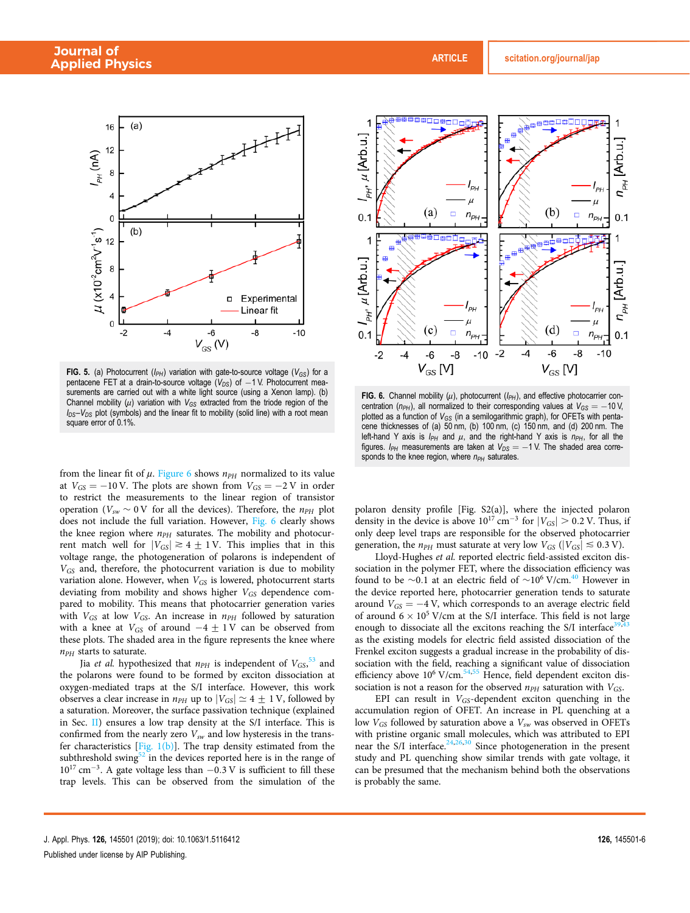

FIG. 5. (a) Photocurrent ( $I_{PH}$ ) variation with gate-to-source voltage ( $V_{GS}$ ) for a pentacene FET at a drain-to-source voltage ( $V_{DS}$ ) of  $-1$  V. Photocurrent measurements are carried out with a white light source (using a Xenon lamp). (b) Channel mobility  $(\mu)$  variation with  $V_{GS}$  extracted from the triode region of the  $I_{DS}-V_{DS}$  plot (symbols) and the linear fit to mobility (solid line) with a root mean square error of 0.1%.

from the linear fit of  $\mu$ . Figure 6 shows  $n_{PH}$  normalized to its value at  $V_{GS} = -10 \text{ V}$ . The plots are shown from  $V_{GS} = -2 \text{ V}$  in order to restrict the measurements to the linear region of transistor operation ( $V_{sw}$  ~ 0 V for all the devices). Therefore, the  $n_{PH}$  plot does not include the full variation. However, Fig. 6 clearly shows the knee region where  $n_{PH}$  saturates. The mobility and photocurrent match well for  $|V_{GS}| \ge 4 + 1$  V. This implies that in this voltage range, the photogeneration of polarons is independent of  $V_{GS}$  and, therefore, the photocurrent variation is due to mobility variation alone. However, when  $V_{GS}$  is lowered, photocurrent starts deviating from mobility and shows higher  $V_{GS}$  dependence compared to mobility. This means that photocarrier generation varies with  $V_{GS}$  at low  $V_{GS}$ . An increase in  $n_{PH}$  followed by saturation with a knee at  $V_{GS}$  of around  $-4 \pm 1$  V can be observed from these plots. The shaded area in the figure represents the knee where  $n_{PH}$  starts to saturate.

Jia *et al.* hypothesized that  $n_{PH}$  is independent of  $V_{GS}$ ,  $^{53}$  and the polarons were found to be formed by exciton dissociation at oxygen-mediated traps at the S/I interface. However, this work observes a clear increase in  $n_{PH}$  up to  $|V_{GS}| \simeq 4 \pm 1$  V, followed by a saturation. Moreover, the surface passivation technique (explained in Sec. II) ensures a low trap density at the S/I interface. This is confirmed from the nearly zero  $V_{sw}$  and low hysteresis in the transfer characteristics  $[Fig. 1(b)]$ . The trap density estimated from the subthreshold swing $52$  in the devices reported here is in the range of  $10^{17}$  cm<sup>-3</sup>. A gate voltage less than  $-0.3$  V is sufficient to fill these trap levels. This can be observed from the simulation of the



FIG. 6. Channel mobility  $(\mu)$ , photocurrent  $(I_{PH})$ , and effective photocarrier concentration ( $n_{PH}$ ), all normalized to their corresponding values at  $V_{GS} = -10$  V, plotted as a function of  $V_{GS}$  (in a semilogarithmic graph), for OFETs with pentacene thicknesses of (a) 50 nm, (b) 100 nm, (c) 150 nm, and (d) 200 nm. The left-hand Y axis is  $I_{PH}$  and  $\mu$ , and the right-hand Y axis is  $n_{PH}$ , for all the figures.  $I_{PH}$  measurements are taken at  $V_{DS} = -1$  V. The shaded area corresponds to the knee region, where  $n_{PH}$  saturates.

polaron density profile [Fig. S2(a)], where the injected polaron density in the device is above  $10^{17}$  cm<sup>-3</sup> for  $|V_{GS}| > 0.2$  V. Thus, if only deep level traps are responsible for the observed photocarrier generation, the  $n_{PH}$  must saturate at very low  $V_{GS}$  ( $|V_{GS}| \le 0.3$  V).

Lloyd-Hughes et al. reported electric field-assisted exciton dissociation in the polymer FET, where the dissociation efficiency was found to be  $\sim$ 0.1 at an electric field of  $\sim$ 10<sup>6</sup> V/cm.<sup>40</sup> However in the device reported here, photocarrier generation tends to saturate around  $V_{GS} = -4$  V, which corresponds to an average electric field of around  $6 \times 10^5$  V/cm at the S/I interface. This field is not large enough to dissociate all the excitons reaching the S/I interface<sup>39</sup> as the existing models for electric field assisted dissociation of the Frenkel exciton suggests a gradual increase in the probability of dissociation with the field, reaching a significant value of dissociation efficiency above  $10^6$  V/cm.<sup>54,55</sup> Hence, field dependent exciton dissociation is not a reason for the observed  $n_{PH}$  saturation with  $V_{GS}$ .

EPI can result in  $V_{GS}$ -dependent exciton quenching in the accumulation region of OFET. An increase in PL quenching at a low  $V_{GS}$  followed by saturation above a  $V_{sw}$  was observed in OFETs with pristine organic small molecules, which was attributed to EPI near the S/I interface.<sup>24,26,30</sup> Since photogeneration in the present study and PL quenching show similar trends with gate voltage, it can be presumed that the mechanism behind both the observations is probably the same.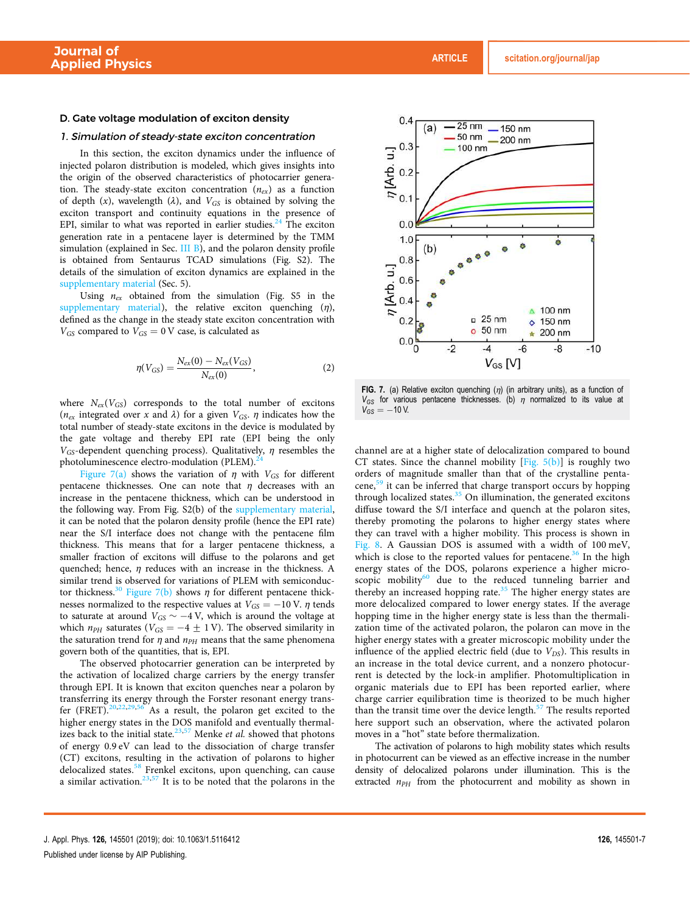#### D. Gate voltage modulation of exciton density

#### 1. Simulation of steady-state exciton concentration

In this section, the exciton dynamics under the influence of injected polaron distribution is modeled, which gives insights into the origin of the observed characteristics of photocarrier generation. The steady-state exciton concentration  $(n_{ex})$  as a function of depth  $(x)$ , wavelength  $(\lambda)$ , and  $V_{GS}$  is obtained by solving the exciton transport and continuity equations in the presence of EPI, similar to what was reported in earlier studies. $24$  The exciton generation rate in a pentacene layer is determined by the TMM simulation (explained in Sec. III B), and the polaron density profile is obtained from Sentaurus TCAD simulations (Fig. S2). The details of the simulation of exciton dynamics are explained in the supplementary material (Sec. 5).

Using  $n_{ex}$  obtained from the simulation (Fig. S5 in the supplementary material), the relative exciton quenching  $(\eta)$ , defined as the change in the steady state exciton concentration with  $V_{GS}$  compared to  $V_{GS} = 0$  V case, is calculated as

$$
\eta(V_{GS}) = \frac{N_{ex}(0) - N_{ex}(V_{GS})}{N_{ex}(0)},
$$
\n(2)

where  $N_{ex}(V_{GS})$  corresponds to the total number of excitons ( $n_{ex}$  integrated over x and  $\lambda$ ) for a given  $V_{GS}$ .  $\eta$  indicates how the total number of steady-state excitons in the device is modulated by the gate voltage and thereby EPI rate (EPI being the only  $V_{GS}$ -dependent quenching process). Qualitatively,  $\eta$  resembles the photoluminescence electro-modulation (PLEM).

Figure 7(a) shows the variation of  $\eta$  with  $V_{GS}$  for different pentacene thicknesses. One can note that  $\eta$  decreases with an increase in the pentacene thickness, which can be understood in the following way. From Fig. S2(b) of the supplementary material, it can be noted that the polaron density profile (hence the EPI rate) near the S/I interface does not change with the pentacene film thickness. This means that for a larger pentacene thickness, a smaller fraction of excitons will diffuse to the polarons and get quenched; hence,  $\eta$  reduces with an increase in the thickness. A similar trend is observed for variations of PLEM with semiconductor thickness.<sup>30</sup> Figure 7(b) shows  $\eta$  for different pentacene thicknesses normalized to the respective values at  $V_{GS} = -10$  V.  $\eta$  tends to saturate at around  $V_{GS} \sim -4$  V, which is around the voltage at which  $n_{PH}$  saturates ( $V_{GS} = -4 \pm 1$  V). The observed similarity in the saturation trend for  $\eta$  and  $n_{PH}$  means that the same phenomena govern both of the quantities, that is, EPI.

The observed photocarrier generation can be interpreted by the activation of localized charge carriers by the energy transfer through EPI. It is known that exciton quenches near a polaron by transferring its energy through the Forster resonant energy transfer (FRET).<sup>20,22,29,56</sup> As a result, the polaron get excited to the higher energy states in the DOS manifold and eventually thermalizes back to the initial state.<sup>23,57</sup> Menke et al. showed that photons of energy 0.9 eV can lead to the dissociation of charge transfer (CT) excitons, resulting in the activation of polarons to higher delocalized states.<sup>58</sup> Frenkel excitons, upon quenching, can cause a similar activation.<sup>23,57</sup> It is to be noted that the polarons in the



FIG. 7. (a) Relative exciton quenching  $(\eta)$  (in arbitrary units), as a function of  $V_{GS}$  for various pentacene thicknesses. (b)  $\eta$  normalized to its value at  $V_{GS} = -10 V$ .

channel are at a higher state of delocalization compared to bound CT states. Since the channel mobility [Fig.  $5(b)$ ] is roughly two orders of magnitude smaller than that of the crystalline pentacene,<sup>59</sup> it can be inferred that charge transport occurs by hopping through localized states.<sup>35</sup> On illumination, the generated excitons diffuse toward the S/I interface and quench at the polaron sites, thereby promoting the polarons to higher energy states where they can travel with a higher mobility. This process is shown in Fig. 8. A Gaussian DOS is assumed with a width of 100 meV, which is close to the reported values for pentacene.<sup>36</sup> In the high energy states of the DOS, polarons experience a higher microscopic mobility $60$  due to the reduced tunneling barrier and thereby an increased hopping rate.<sup>35</sup> The higher energy states are more delocalized compared to lower energy states. If the average hopping time in the higher energy state is less than the thermalization time of the activated polaron, the polaron can move in the higher energy states with a greater microscopic mobility under the influence of the applied electric field (due to  $V_{DS}$ ). This results in an increase in the total device current, and a nonzero photocurrent is detected by the lock-in amplifier. Photomultiplication in organic materials due to EPI has been reported earlier, where charge carrier equilibration time is theorized to be much higher than the transit time over the device length. $57$  The results reported here support such an observation, where the activated polaron moves in a "hot" state before thermalization.

The activation of polarons to high mobility states which results in photocurrent can be viewed as an effective increase in the number density of delocalized polarons under illumination. This is the extracted  $n_{PH}$  from the photocurrent and mobility as shown in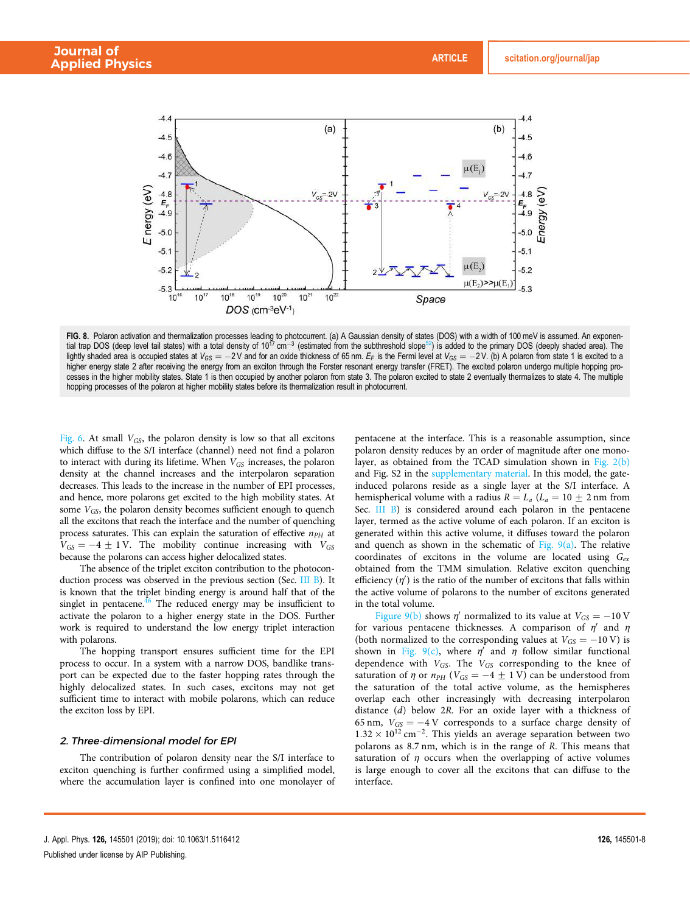

**FIG. 8.** Polaron activation and thermalization processes leading to photocurrent. (a) A Gaussian density of states (DOS) with a width of 100 meV is assumed. An exponen-<br>tial trap DOS (deep level tail states) with a total lightly shaded area is occupied states at  $V_{GS} = -2V$  and for an oxide thickness of 65 nm.  $E_F$  is the Fermi level at  $V_{GS} = -2V$ . (b) A polaron from state 1 is excited to a higher energy state 2 after receiving the energy from an exciton through the Forster resonant energy transfer (FRET). The excited polaron undergo multiple hopping processes in the higher mobility states. State 1 is then occupied by another polaron from state 3. The polaron excited to state 2 eventually thermalizes to state 4. The multiple hopping processes of the polaron at higher mobility states before its thermalization result in photocurrent.

Fig. 6. At small  $V_{GS}$ , the polaron density is low so that all excitons which diffuse to the S/I interface (channel) need not find a polaron to interact with during its lifetime. When  $V_{GS}$  increases, the polaron density at the channel increases and the interpolaron separation decreases. This leads to the increase in the number of EPI processes, and hence, more polarons get excited to the high mobility states. At some  $V_{GS}$ , the polaron density becomes sufficient enough to quench all the excitons that reach the interface and the number of quenching process saturates. This can explain the saturation of effective  $n_{PH}$  at  $V_{GS} = -4 \pm 1$  V. The mobility continue increasing with  $V_{GS}$ because the polarons can access higher delocalized states.

The absence of the triplet exciton contribution to the photoconduction process was observed in the previous section (Sec. III B). It is known that the triplet binding energy is around half that of the singlet in pentacene. $46$  The reduced energy may be insufficient to activate the polaron to a higher energy state in the DOS. Further work is required to understand the low energy triplet interaction with polarons.

The hopping transport ensures sufficient time for the EPI process to occur. In a system with a narrow DOS, bandlike transport can be expected due to the faster hopping rates through the highly delocalized states. In such cases, excitons may not get sufficient time to interact with mobile polarons, which can reduce the exciton loss by EPI.

#### 2. Three-dimensional model for EPI

The contribution of polaron density near the S/I interface to exciton quenching is further confirmed using a simplified model, where the accumulation layer is confined into one monolayer of pentacene at the interface. This is a reasonable assumption, since polaron density reduces by an order of magnitude after one monolayer, as obtained from the TCAD simulation shown in Fig. 2(b) and Fig. S2 in the supplementary material. In this model, the gateinduced polarons reside as a single layer at the S/I interface. A hemispherical volume with a radius  $R = L_a$  ( $L_a = 10 \pm 2$  nm from Sec. III B) is considered around each polaron in the pentacene layer, termed as the active volume of each polaron. If an exciton is generated within this active volume, it diffuses toward the polaron and quench as shown in the schematic of Fig.  $9(a)$ . The relative coordinates of excitons in the volume are located using  $G_{ex}$ obtained from the TMM simulation. Relative exciton quenching efficiency  $(\eta')$  is the ratio of the number of excitons that falls within the active volume of polarons to the number of excitons generated in the total volume.

Figure 9(b) shows  $\eta'$  normalized to its value at  $V_{GS} = -10 \text{ V}$ for various pentacene thicknesses. A comparison of  $\eta'$  and  $\eta$ (both normalized to the corresponding values at  $V_{GS} = -10 \text{ V}$ ) is shown in Fig. 9(c), where  $\eta'$  and  $\eta$  follow similar functional dependence with  $V_{GS}$ . The  $V_{GS}$  corresponding to the knee of saturation of  $\eta$  or  $n_{PH}$  (V<sub>GS</sub> = -4  $\pm$  1 V) can be understood from the saturation of the total active volume, as the hemispheres overlap each other increasingly with decreasing interpolaron distance (d) below 2R. For an oxide layer with a thickness of 65 nm,  $V_{GS} = -4$  V corresponds to a surface charge density of  $1.32 \times 10^{12}$  cm<sup>-2</sup>. This yields an average separation between two polarons as 8.7 nm, which is in the range of R. This means that saturation of  $\eta$  occurs when the overlapping of active volumes is large enough to cover all the excitons that can diffuse to the interface.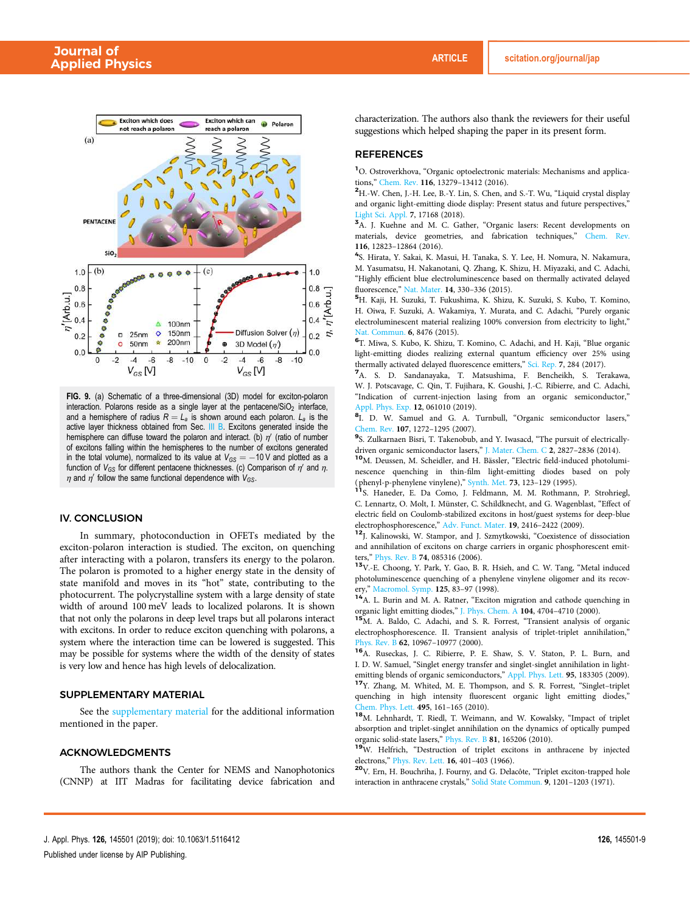

FIG. 9. (a) Schematic of a three-dimensional (3D) model for exciton-polaron interaction. Polarons reside as a single layer at the pentacene/ $SiO<sub>2</sub>$  interface, and a hemisphere of radius  $R = L_a$  is shown around each polaron.  $L_a$  is the active layer thickness obtained from Sec. III B. Excitons generated inside the hemisphere can diffuse toward the polaron and interact. (b)  $\eta'$  (ratio of number of excitons falling within the hemispheres to the number of excitons generated in the total volume), normalized to its value at  $V_{GS} = -10$  V and plotted as a function of  $V_{GS}$  for different pentacene thicknesses. (c) Comparison of  $\eta'$  and  $\eta$ .  $\eta$  and  $\eta'$  follow the same functional dependence with  $V_{GS}$ .

#### IV. CONCLUSION

In summary, photoconduction in OFETs mediated by the exciton-polaron interaction is studied. The exciton, on quenching after interacting with a polaron, transfers its energy to the polaron. The polaron is promoted to a higher energy state in the density of state manifold and moves in its "hot" state, contributing to the photocurrent. The polycrystalline system with a large density of state width of around 100 meV leads to localized polarons. It is shown that not only the polarons in deep level traps but all polarons interact with excitons. In order to reduce exciton quenching with polarons, a system where the interaction time can be lowered is suggested. This may be possible for systems where the width of the density of states is very low and hence has high levels of delocalization.

#### SUPPLEMENTARY MATERIAL

See the supplementary material for the additional information mentioned in the paper.

#### ACKNOWLEDGMENTS

The authors thank the Center for NEMS and Nanophotonics (CNNP) at IIT Madras for facilitating device fabrication and characterization. The authors also thank the reviewers for their useful suggestions which helped shaping the paper in its present form.

#### REFERENCES

<sup>1</sup>O. Ostroverkhova, "Organic optoelectronic materials: Mechanisms and applications," Chem. Rev. 116, 13279–13412 (2016).

<sup>2</sup>H.-W. Chen, J.-H. Lee, B.-Y. Lin, S. Chen, and S.-T. Wu, "Liquid crystal display and organic light-emitting diode display: Present status and future perspectives," Light Sci. Appl. 7, 17168 (2018).

<sup>3</sup>A. J. Kuehne and M. C. Gather, "Organic lasers: Recent developments on materials, device geometries, and fabrication techniques," Chem. Rev. 116, 12823–12864 (2016).

4 S. Hirata, Y. Sakai, K. Masui, H. Tanaka, S. Y. Lee, H. Nomura, N. Nakamura, M. Yasumatsu, H. Nakanotani, Q. Zhang, K. Shizu, H. Miyazaki, and C. Adachi, "Highly efficient blue electroluminescence based on thermally activated delayed fluorescence," Nat. Mater. 14, 330–336 (2015).

<sup>5</sup>H. Kaji, H. Suzuki, T. Fukushima, K. Shizu, K. Suzuki, S. Kubo, T. Komino, H. Oiwa, F. Suzuki, A. Wakamiya, Y. Murata, and C. Adachi, "Purely organic electroluminescent material realizing 100% conversion from electricity to light," Nat. Commun. 6, 8476 (2015).

6 T. Miwa, S. Kubo, K. Shizu, T. Komino, C. Adachi, and H. Kaji, "Blue organic light-emitting diodes realizing external quantum efficiency over 25% using thermally activated delayed fluorescence emitters," Sci. Rep. 7, 284 (2017).

<sup>7</sup>A. S. D. Sandanayaka, T. Matsushima, F. Bencheikh, S. Terakawa, W. J. Potscavage, C. Qin, T. Fujihara, K. Goushi, J.-C. Ribierre, and C. Adachi, "Indication of current-injection lasing from an organic semiconductor," Appl. Phys. Exp. 12, 061010 (2019).

<sup>8</sup>I. D. W. Samuel and G. A. Turnbull, "Organic semiconductor lasers," Chem. Rev. 107, 1272–1295 (2007).

<sup>9</sup>S. Zulkarnaen Bisri, T. Takenobub, and Y. Iwasacd, "The pursuit of electricallydriven organic semiconductor lasers," J. Mater. Chem. C 2, 2827–2836 (2014).

<sup>10</sup>M. Deussen, M. Scheidler, and H. Bässler, "Electric field-induced photoluminescence quenching in thin-film light-emitting diodes based on poly ( phenyl-p-phenylene vinylene)," Synth. Met. 73, 123–129 (1995).

<sup>11</sup>S. Haneder, E. Da Como, J. Feldmann, M. M. Rothmann, P. Strohriegl, C. Lennartz, O. Molt, I. Münster, C. Schildknecht, and G. Wagenblast, "Effect of electric field on Coulomb-stabilized excitons in host/guest systems for deep-blue electrophosphorescence," Adv. Funct. Mater. 19, 2416–2422 (2009).

<sup>12</sup>J. Kalinowski, W. Stampor, and J. Szmytkowski, "Coexistence of dissociation and annihilation of excitons on charge carriers in organic phosphorescent emitters," Phys. Rev. B 74, 085316 (2006).

<sup>13</sup>V.-E. Choong, Y. Park, Y. Gao, B. R. Hsieh, and C. W. Tang, "Metal induced photoluminescence quenching of a phenylene vinylene oligomer and its recovery," Macromol. Symp. 125, 83–97 (1998).

<sup>14</sup>A. L. Burin and M. A. Ratner, "Exciton migration and cathode quenching in organic light emitting diodes," J. Phys. Chem. A 104, 4704–4710 (2000).

<sup>15</sup>M. A. Baldo, C. Adachi, and S. R. Forrest, "Transient analysis of organic electrophosphorescence. II. Transient analysis of triplet-triplet annihilation," Phys. Rev. B 62, 10967–10977 (2000).

<sup>16</sup>A. Ruseckas, J. C. Ribierre, P. E. Shaw, S. V. Staton, P. L. Burn, and I. D. W. Samuel, "Singlet energy transfer and singlet-singlet annihilation in lightemitting blends of organic semiconductors," Appl. Phys. Lett. 95, 183305 (2009).

<sup>17</sup>Y. Zhang, M. Whited, M. E. Thompson, and S. R. Forrest, "Singlet–triplet quenching in high intensity fluorescent organic light emitting diodes," Chem. Phys. Lett. 495, 161-165 (2010).

<sup>18</sup>M. Lehnhardt, T. Riedl, T. Weimann, and W. Kowalsky, "Impact of triplet absorption and triplet-singlet annihilation on the dynamics of optically pumped organic solid-state lasers," Phys. Rev. B 81, 165206 (2010).

<sup>19</sup>W. Helfrich, "Destruction of triplet excitons in anthracene by injected electrons," Phys. Rev. Lett. 16, 401–403 (1966).

<sup>20</sup>V. Ern, H. Bouchriha, J. Fourny, and G. Delacôte, "Triplet exciton-trapped hole interaction in anthracene crystals," Solid State Commun. 9, 1201–1203 (1971).